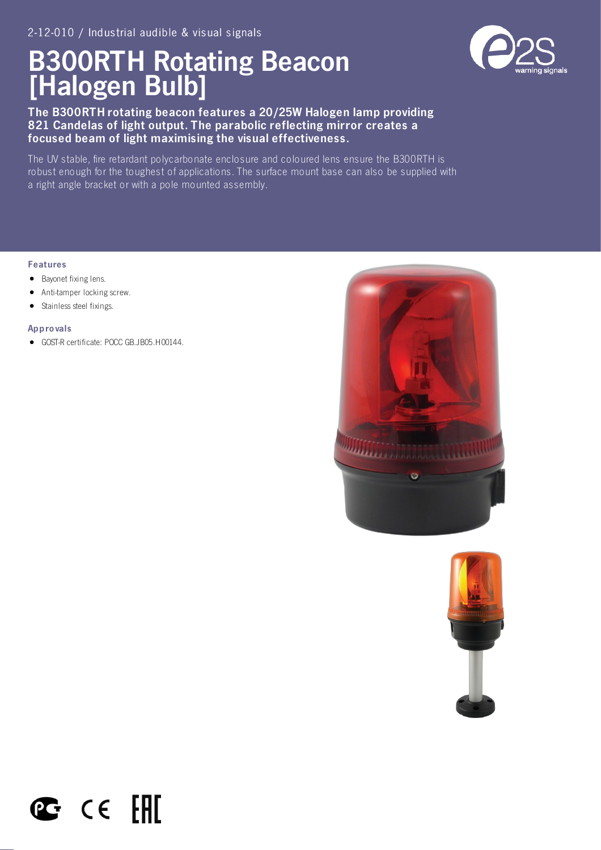# B300RTH Rotating Beacon [Halogen Bulb]

The B300RTH rotating beacon features a 20/25W Halogen lamp providing 821 Candelas of light output. The parabolic reflecting mirror creates a focused beam of light maximising the visual effectiveness.

The UV stable, fire retardant polycarbonate enclosure and coloured lens ensure the B300RTH is robust enough for the toughest of applications. The surface mount base can also be supplied with a right angle bracket or with a pole mounted assembly.

### Features

- Bayonet fixing lens.
- Anti-tamper locking screw.
- Stainless steel fixings.  $\bullet$

#### Appro vals

GOST-R certificate: POCC GB.JB05.H00144.

 $\mathbf{C}$  cell